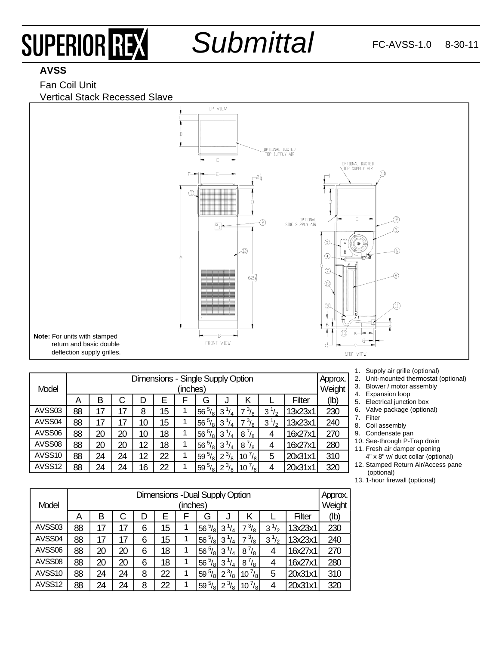# SUPERIOR REX

*Submittal*

### **AVSS**

#### Fan Coil Unit Vertical Stack Recessed Slave



| Model  | Dimensions - Single Supply Option<br>(inches) |    |    |    |    |   |                     |                               |                    |                    | Approx.<br>Weight |      |
|--------|-----------------------------------------------|----|----|----|----|---|---------------------|-------------------------------|--------------------|--------------------|-------------------|------|
|        | A                                             | В  | C  | D  | E  |   | G                   |                               | Κ                  |                    | Filter            | (Ib) |
| AVSS03 | 88                                            | 17 | 17 | 8  | 15 | 1 | $56\frac{5}{8}$     | $3\frac{1}{4}$                | $\frac{3}{8}$      | $\frac{1}{2}$<br>3 | 13x23x1           | 230  |
| AVSS04 | 88                                            | 17 | 17 | 10 | 15 | 1 | 56 $^{5}/_{8}$      | $3\frac{1}{4}$                | $\frac{3}{8}$      | 3<br>$\frac{1}{2}$ | 13x23x1           | 240  |
| AVSS06 | 88                                            | 20 | 20 | 10 | 18 | 1 | $^{5}/_{8}$<br>56   | $3^{1}/_{4}$                  | $8^{7}/_{8}$       | 4                  | 16x27x1           | 270  |
| AVSS08 | 88                                            | 20 | 20 | 12 | 18 | 1 | $\frac{5}{8}$<br>56 | $3\frac{1}{4}$                | $8^{7}/_{8}$       | 4                  | 16x27x1           | 280  |
| AVSS10 | 88                                            | 24 | 24 | 12 | 22 | 1 | $^{5}/_{8}$<br>59   | $^{3}/_{8}$<br>$\overline{2}$ | $^{7}/_{81}$<br>10 | 5                  | 20x31x1           | 310  |
| AVSS12 | 88                                            | 24 | 24 | 16 | 22 | 1 | $^{5}/_{8}$<br>59   | $^{3}/_{8}$<br>2              | $10^{7}/_8$        |                    | 20x31x1           | 320  |

- 1. Supply air grille (optional)
- 2. Unit-mounted thermostat (optional)
- 3. Blower / motor assembly
- 4. Expansion loop
- 5. Electrical junction box
- 6. Valve package (optional) 7. Filter
	-
- 8. Coil assembly
- 9. Condensate pan

10. See-through P-Trap drain 11. Fresh air damper opening

- 4" x 8" w/ duct collar (optional)
- 12. Stamped Return Air/Access pane (optional)
- 13. 1-hour firewall (optional)

| Model  | <b>Dimensions - Dual Supply Option</b><br>(inches) |    |    |   |    |   |                   |                |                   | Approx.<br>Weight  |               |      |
|--------|----------------------------------------------------|----|----|---|----|---|-------------------|----------------|-------------------|--------------------|---------------|------|
|        |                                                    |    |    |   |    |   |                   |                |                   |                    |               |      |
|        | A                                                  | в  | C  | D | F  | F | G                 | J              | κ                 |                    | <b>Filter</b> | (Ib) |
| AVSS03 | 88                                                 | 17 | 17 | 6 | 15 |   | 5/8<br>56         | $3\frac{1}{4}$ | $\frac{3}{8}$     | $\frac{1}{2}$<br>3 | 13x23x1       | 230  |
| AVSS04 | 88                                                 | 17 | 17 | 6 | 15 |   | $^{5}/_{8}$<br>56 | 3              | $^{3}/_{8}$<br>7  | $\frac{1}{2}$<br>3 | 13x23x1       | 240  |
| AVSS06 | 88                                                 | 20 | 20 | 6 | 18 |   | $^{5}/_{8}$<br>56 | $3^{1/4}$      | $8^{7}/_8$        | 4                  | 16x27x1       | 270  |
| AVSS08 | 88                                                 | 20 | 20 | 6 | 18 |   | $^{5}/_{8}$<br>56 | $3\frac{1}{4}$ | $8^{7}/_{8}$      | 4                  | 16x27x1       | 280  |
| AVSS10 | 88                                                 | 24 | 24 | 8 | 22 |   | $^{5}/_{8}$<br>59 | $2^{3}/_{8}$   | $10^{7}/_8$       | 5                  | 20x31x1       | 310  |
| AVSS12 | 88                                                 | 24 | 24 | 8 | 22 |   | $^{5}/_{8}$<br>59 | $2^{3}/_{8}$   | $^{7}/_{8}$<br>10 |                    | 20x31x1       | 320  |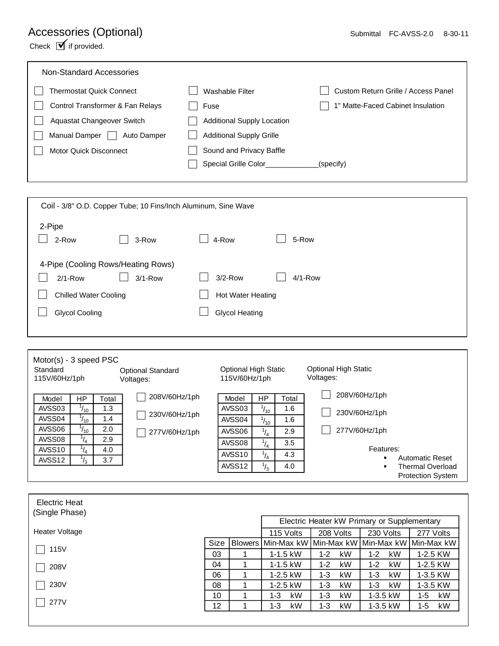## Accessories (Optional)

Check  $\mathbf{\nabla}$  if provided.

| Non-Standard Accessories          |                                   |                                     |
|-----------------------------------|-----------------------------------|-------------------------------------|
| Thermostat Quick Connect          | Washable Filter                   | Custom Return Grille / Access Panel |
| Control Transformer & Fan Relays  | Fuse                              | 1" Matte-Faced Cabinet Insulation   |
| <b>Aguastat Changeover Switch</b> | <b>Additional Supply Location</b> |                                     |
| Manual Damper<br>Auto Damper      | <b>Additional Supply Grille</b>   |                                     |
| <b>Motor Quick Disconnect</b>     | Sound and Privacy Baffle          |                                     |
|                                   | Special Grille Color              | (specify)                           |
|                                   |                                   |                                     |

| Coil - 3/8" O.D. Copper Tube; 10 Fins/Inch Aluminum, Sine Wave |             |                           |  |  |  |  |  |
|----------------------------------------------------------------|-------------|---------------------------|--|--|--|--|--|
| 2-Pipe<br>2-Row                                                | 3-Row       | 5-Row<br>4-Row            |  |  |  |  |  |
| 4-Pipe (Cooling Rows/Heating Rows)<br>$2/1-Row$                | $3/1 - Row$ | $3/2$ -Row<br>$4/1 - Row$ |  |  |  |  |  |
| <b>Chilled Water Cooling</b>                                   |             | <b>Hot Water Heating</b>  |  |  |  |  |  |
| <b>Glycol Cooling</b>                                          |             | <b>Glycol Heating</b>     |  |  |  |  |  |
|                                                                |             |                           |  |  |  |  |  |

| $Motor(s) - 3 speed PSC$<br>Standard<br><b>Optional Standard</b><br>115V/60Hz/1ph<br>Voltages: |                |       | <b>Optional High Static</b><br>115V/60Hz/1ph |                    |               | <b>Optional High Static</b><br>Voltages: |                             |  |
|------------------------------------------------------------------------------------------------|----------------|-------|----------------------------------------------|--------------------|---------------|------------------------------------------|-----------------------------|--|
|                                                                                                |                |       |                                              |                    |               |                                          |                             |  |
|                                                                                                |                |       | 208V/60Hz/1ph                                |                    |               |                                          | 208V/60Hz/1ph               |  |
| Model                                                                                          | HP             | Total |                                              | Model              | <b>HP</b>     | Total                                    |                             |  |
| AVSS03                                                                                         | $1_{10}$       | 1.3   | 230V/60Hz/1ph                                | AVSS03             | $^{1}/_{10}$  | 1.6                                      | 230V/60Hz/1ph               |  |
| AVSS04                                                                                         | $1_{10}$       | 1.4   |                                              | AVSS04             | $^{1}/_{10}$  | 1.6                                      |                             |  |
| AVSS06                                                                                         | $1_{10}$       | 2.0   | 277V/60Hz/1ph                                | AVSS06             | $^{1}/_{4}$   | 2.9                                      | 277V/60Hz/1ph               |  |
| AVSS08                                                                                         | ΙΔ.            | 2.9   |                                              | AVSS08             | $^{1}/_{4}$   | 3.5                                      |                             |  |
| AVSS <sub>10</sub>                                                                             | 14             | 4.0   |                                              |                    |               |                                          | Features:                   |  |
| AVSS12                                                                                         |                | 3.7   |                                              | AVSS <sub>10</sub> | $^{1}/_{4}$   | 4.3                                      | <b>Automatic Reset</b><br>٠ |  |
|                                                                                                | $\overline{3}$ |       |                                              | AVSS <sub>12</sub> | $\frac{1}{3}$ | 4.0                                      | Thermal Overload<br>٠       |  |
|                                                                                                |                |       |                                              |                    |               |                                          | <b>Protection System</b>    |  |

| Electric Heat<br>(Single Phase) |                 |              |                                                     |               |           |
|---------------------------------|-----------------|--------------|-----------------------------------------------------|---------------|-----------|
|                                 |                 |              | Electric Heater kW Primary or Supplementary         |               |           |
| Heater Voltage                  |                 | 115 Volts    | 208 Volts                                           | 230 Volts     | 277 Volts |
| 115V                            | <b>Size</b>     |              | Blowers Min-Max kW Min-Max kW Min-Max kW Min-Max kW |               |           |
|                                 | 03              | $1 - 1.5$ kW | kW<br>1-2                                           | kW<br>$1 - 2$ | 1-2.5 KW  |
| 208V                            | 04              | $1 - 1.5$ kW | kW<br>$1 - 2$                                       | kW<br>$1 - 2$ | 1-2.5 KW  |
|                                 | 06              | 1-2.5 kW     | kW<br>1-3                                           | kW<br>$1 - 3$ | 1-3.5 KW  |
| 230V                            | 08              | $1-2.5$ kW   | kW<br>1-3                                           | $1 - 3$<br>kW | 1-3.5 KW  |
|                                 | 10              | kW<br>1-3    | kW<br>$1 - 3$                                       | $1-3.5$ kW    | kW<br>1-5 |
| 277V                            | 12 <sup>2</sup> | kW<br>1-3    | kW<br>1-3                                           | 1-3.5 kW      | kW<br>1-5 |
|                                 |                 |              |                                                     |               |           |